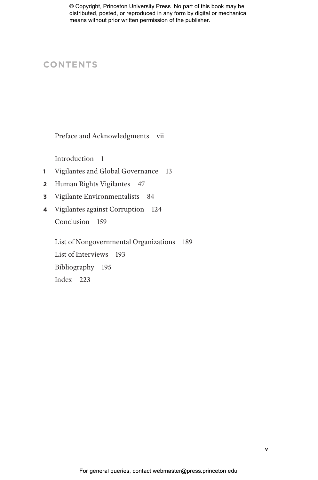# **CONTENTS**

Preface and Acknowledgments vii

Introduction 1

- **1** Vigilantes and Global Governance 13
- **2** Human Rights Vigilantes 47
- **3** Vigilante Environmentalists 84
- **4** Vigilantes against Corruption 124 Conclusion 159

List of Nongovernmental Organizations 189 List of Interviews 193 Bibliography 195 Index 223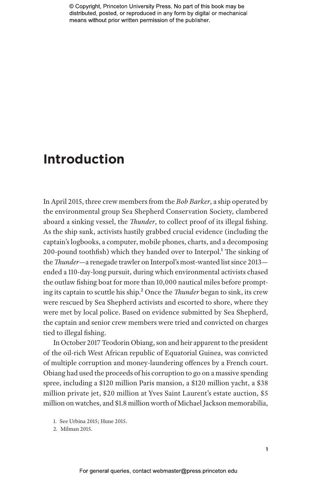# **Introduction**

In April 2015, three crew members from the *Bob Barker*, a ship operated by the environmental group Sea Shepherd Conservation Society, clambered aboard a sinking vessel, the *Thunder*, to collect proof of its illegal fishing. As the ship sank, activists hastily grabbed crucial evidence (including the captain's logbooks, a computer, mobile phones, charts, and a decomposing 200-pound toothfish) which they handed over to Interpol.<sup>1</sup> The sinking of the *Thunder*—a renegade trawler on Interpol's most-wanted list since 2013 ended a 110-day-long pursuit, during which environmental activists chased the outlaw fishing boat for more than 10,000 nautical miles before prompting its captain to scuttle his ship.2 Once the *Thunder* began to sink, its crew were rescued by Sea Shepherd activists and escorted to shore, where they were met by local police. Based on evidence submitted by Sea Shepherd, the captain and senior crew members were tried and convicted on charges tied to illegal fishing.

In October 2017 Teodorin Obiang, son and heir apparent to the president of the oil-rich West African republic of Equatorial Guinea, was convicted of multiple corruption and money-laundering offences by a French court. Obiang had used the proceeds of his corruption to go on a massive spending spree, including a \$120 million Paris mansion, a \$120 million yacht, a \$38 million private jet, \$20 million at Yves Saint Laurent's estate auction, \$5 million on watches, and \$1.8 million worth of Michael Jackson memorabilia,

<sup>1.</sup> See Urbina 2015; Hune 2015.

<sup>2.</sup> Milman 2015.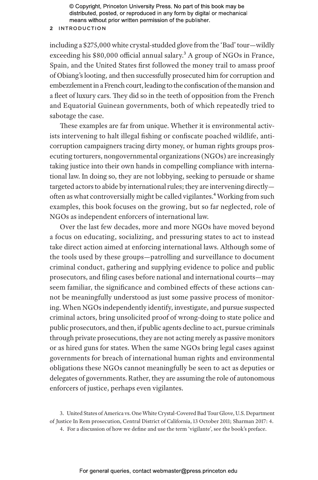### **2** Introduction

including a \$275,000 white crystal-studded glove from the 'Bad' tour—wildly exceeding his \$80,000 official annual salary.<sup>3</sup> A group of NGOs in France, Spain, and the United States first followed the money trail to amass proof of Obiang's looting, and then successfully prosecuted him for corruption and embezzlement in a French court, leading to the confiscation of the mansion and a fleet of luxury cars. They did so in the teeth of opposition from the French and Equatorial Guinean governments, both of which repeatedly tried to sabotage the case.

These examples are far from unique. Whether it is environmental activists intervening to halt illegal fishing or confiscate poached wildlife, anticorruption campaigners tracing dirty money, or human rights groups prosecuting torturers, nongovernmental organizations (NGOs) are increasingly taking justice into their own hands in compelling compliance with international law. In doing so, they are not lobbying, seeking to persuade or shame targeted actors to abide by international rules; they are intervening directly often as what controversially might be called vigilantes.<sup>4</sup> Working from such examples, this book focuses on the growing, but so far neglected, role of NGOs as independent enforcers of international law.

Over the last few decades, more and more NGOs have moved beyond a focus on educating, socializing, and pressuring states to act to instead take direct action aimed at enforcing international laws. Although some of the tools used by these groups—patrolling and surveillance to document criminal conduct, gathering and supplying evidence to police and public prosecutors, and filing cases before national and international courts—may seem familiar, the significance and combined effects of these actions cannot be meaningfully understood as just some passive process of monitoring. When NGOs independently identify, investigate, and pursue suspected criminal actors, bring unsolicited proof of wrong-doing to state police and public prosecutors, and then, if public agents decline to act, pursue criminals through private prosecutions, they are not acting merely as passive monitors or as hired guns for states. When the same NGOs bring legal cases against governments for breach of international human rights and environmental obligations these NGOs cannot meaningfully be seen to act as deputies or delegates of governments. Rather, they are assuming the role of autonomous enforcers of justice, perhaps even vigilantes.

<sup>3.</sup> United States of America vs. One White Crystal-Covered Bad Tour Glove, U.S. Department of Justice In Rem prosecution, Central District of California, 13 October 2011; Sharman 2017: 4.

<sup>4.</sup> For a discussion of how we define and use the term 'vigilante', see the book's preface.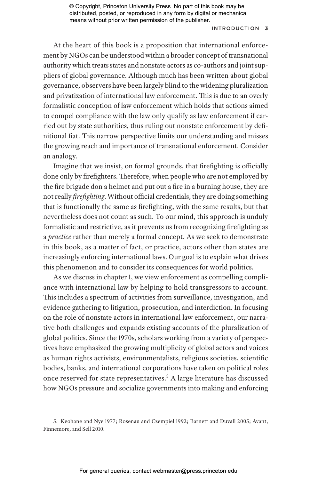### Introduction **3**

At the heart of this book is a proposition that international enforcement by NGOs can be understood within a broader concept of transnational authority which treats states and nonstate actors as co-authors and joint suppliers of global governance. Although much has been written about global governance, observers have been largely blind to the widening pluralization and privatization of international law enforcement. This is due to an overly formalistic conception of law enforcement which holds that actions aimed to compel compliance with the law only qualify as law enforcement if carried out by state authorities, thus ruling out nonstate enforcement by definitional fiat. This narrow perspective limits our understanding and misses the growing reach and importance of transnational enforcement. Consider an analogy.

Imagine that we insist, on formal grounds, that firefighting is officially done only by firefighters. Therefore, when people who are not employed by the fire brigade don a helmet and put out a fire in a burning house, they are not really *firefighting*. Without official credentials, they are doing something that is functionally the same as firefighting, with the same results, but that nevertheless does not count as such. To our mind, this approach is unduly formalistic and restrictive, as it prevents us from recognizing firefighting as a *practice* rather than merely a formal concept. As we seek to demonstrate in this book, as a matter of fact, or practice, actors other than states are increasingly enforcing international laws. Our goal is to explain what drives this phenomenon and to consider its consequences for world politics.

As we discuss in chapter 1, we view enforcement as compelling compliance with international law by helping to hold transgressors to account. This includes a spectrum of activities from surveillance, investigation, and evidence gathering to litigation, prosecution, and interdiction. In focusing on the role of nonstate actors in international law enforcement, our narrative both challenges and expands existing accounts of the pluralization of global politics. Since the 1970s, scholars working from a variety of perspectives have emphasized the growing multiplicity of global actors and voices as human rights activists, environmentalists, religious societies, scientific bodies, banks, and international corporations have taken on political roles once reserved for state representatives.5 A large literature has discussed how NGOs pressure and socialize governments into making and enforcing

<sup>5.</sup> Keohane and Nye 1977; Rosenau and Czempiel 1992; Barnett and Duvall 2005; Avant, Finnemore, and Sell 2010.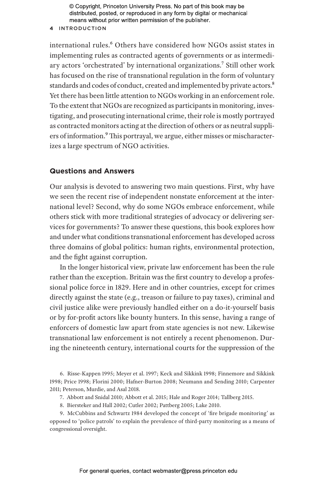### **4** Introduction

international rules.<sup>6</sup> Others have considered how NGOs assist states in implementing rules as contracted agents of governments or as intermediary actors 'orchestrated' by international organizations.<sup>7</sup> Still other work has focused on the rise of transnational regulation in the form of voluntary standards and codes of conduct, created and implemented by private actors.<sup>8</sup> Yet there has been little attention to NGOs working in an enforcement role. To the extent that NGOs are recognized as participants in monitoring, investigating, and prosecuting international crime, their role is mostly portrayed as contracted monitors acting at the direction of others or as neutral suppliers of information.<sup>9</sup> This portrayal, we argue, either misses or mischaracterizes a large spectrum of NGO activities.

# **Questions and Answers**

Our analysis is devoted to answering two main questions. First, why have we seen the recent rise of independent nonstate enforcement at the international level? Second, why do some NGOs embrace enforcement, while others stick with more traditional strategies of advocacy or delivering services for governments? To answer these questions, this book explores how and under what conditions transnational enforcement has developed across three domains of global politics: human rights, environmental protection, and the fight against corruption.

In the longer historical view, private law enforcement has been the rule rather than the exception. Britain was the first country to develop a professional police force in 1829. Here and in other countries, except for crimes directly against the state (e.g., treason or failure to pay taxes), criminal and civil justice alike were previously handled either on a do-it-yourself basis or by for-profit actors like bounty hunters. In this sense, having a range of enforcers of domestic law apart from state agencies is not new. Likewise transnational law enforcement is not entirely a recent phenomenon. During the nineteenth century, international courts for the suppression of the

6. Risse-Kappen 1995; Meyer et al. 1997; Keck and Sikkink 1998; Finnemore and Sikkink 1998; Price 1998; Florini 2000; Hafner-Burton 2008; Neumann and Sending 2010; Carpenter 2011; Peterson, Murdie, and Asal 2018.

- 7. Abbott and Snidal 2010; Abbott et al. 2015; Hale and Roger 2014; Tallberg 2015.
- 8. Biersteker and Hall 2002; Cutler 2002; Pattberg 2005; Lake 2010.

9. McCubbins and Schwartz 1984 developed the concept of 'fire brigade monitoring' as opposed to 'police patrols' to explain the prevalence of third-party monitoring as a means of congressional oversight.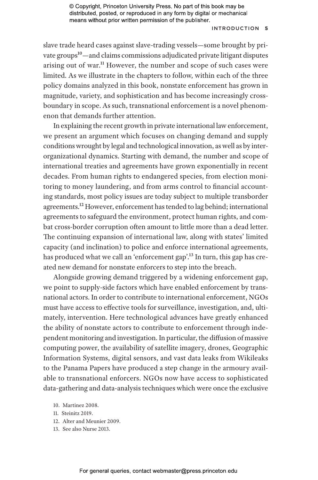### Introduction **5**

slave trade heard cases against slave-trading vessels—some brought by private groups<sup>10</sup>—and claims commissions adjudicated private litigant disputes arising out of war.<sup>11</sup> However, the number and scope of such cases were limited. As we illustrate in the chapters to follow, within each of the three policy domains analyzed in this book, nonstate enforcement has grown in magnitude, variety, and sophistication and has become increasingly crossboundary in scope. As such, transnational enforcement is a novel phenomenon that demands further attention.

In explaining the recent growth in private international law enforcement, we present an argument which focuses on changing demand and supply conditions wrought by legal and technological innovation, as well as by interorganizational dynamics. Starting with demand, the number and scope of international treaties and agreements have grown exponentially in recent decades. From human rights to endangered species, from election monitoring to money laundering, and from arms control to financial accounting standards, most policy issues are today subject to multiple transborder agreements.<sup>12</sup> However, enforcement has tended to lag behind; international agreements to safeguard the environment, protect human rights, and combat cross-border corruption often amount to little more than a dead letter. The continuing expansion of international law, along with states' limited capacity (and inclination) to police and enforce international agreements, has produced what we call an 'enforcement gap'.<sup>13</sup> In turn, this gap has created new demand for nonstate enforcers to step into the breach.

Alongside growing demand triggered by a widening enforcement gap, we point to supply-side factors which have enabled enforcement by transnational actors. In order to contribute to international enforcement, NGOs must have access to effective tools for surveillance, investigation, and, ultimately, intervention. Here technological advances have greatly enhanced the ability of nonstate actors to contribute to enforcement through independent monitoring and investigation. In particular, the diffusion of massive computing power, the availability of satellite imagery, drones, Geographic Information Systems, digital sensors, and vast data leaks from Wikileaks to the Panama Papers have produced a step change in the armoury available to transnational enforcers. NGOs now have access to sophisticated data-gathering and data-analysis techniques which were once the exclusive

- 10. Martinez 2008.
- 11. Steinitz 2019.
- 12. Alter and Meunier 2009.
- 13. See also Nurse 2013.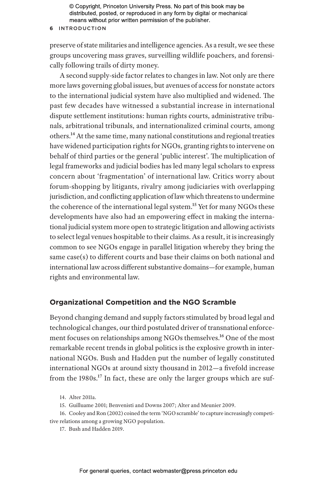### **6** Introduction

preserve of state militaries and intelligence agencies. As a result, we see these groups uncovering mass graves, surveilling wildlife poachers, and forensically following trails of dirty money.

A second supply-side factor relates to changes in law. Not only are there more laws governing global issues, but avenues of access for nonstate actors to the international judicial system have also multiplied and widened. The past few decades have witnessed a substantial increase in international dispute settlement institutions: human rights courts, administrative tribunals, arbitrational tribunals, and internationalized criminal courts, among others.14 At the same time, many national constitutions and regional treaties have widened participation rights for NGOs, granting rights to intervene on behalf of third parties or the general 'public interest'. The multiplication of legal frameworks and judicial bodies has led many legal scholars to express concern about 'fragmentation' of international law. Critics worry about forum-shopping by litigants, rivalry among judiciaries with overlapping jurisdiction, and conflicting application of law which threatens to undermine the coherence of the international legal system.<sup>15</sup> Yet for many NGOs these developments have also had an empowering effect in making the international judicial system more open to strategic litigation and allowing activists to select legal venues hospitable to their claims. As a result, it is increasingly common to see NGOs engage in parallel litigation whereby they bring the same case(s) to different courts and base their claims on both national and international law across different substantive domains—for example, human rights and environmental law.

### **Organizational Competition and the NGO Scramble**

Beyond changing demand and supply factors stimulated by broad legal and technological changes, our third postulated driver of transnational enforcement focuses on relationships among NGOs themselves.<sup>16</sup> One of the most remarkable recent trends in global politics is the explosive growth in international NGOs. Bush and Hadden put the number of legally constituted international NGOs at around sixty thousand in 2012—a fivefold increase from the 1980s.<sup>17</sup> In fact, these are only the larger groups which are suf-

15. Guilluame 2001; Benvenisti and Downs 2007; Alter and Meunier 2009.

16. Cooley and Ron (2002) coined the term 'NGO scramble' to capture increasingly competitive relations among a growing NGO population.

17. Bush and Hadden 2019.

<sup>14.</sup> Alter 2011a.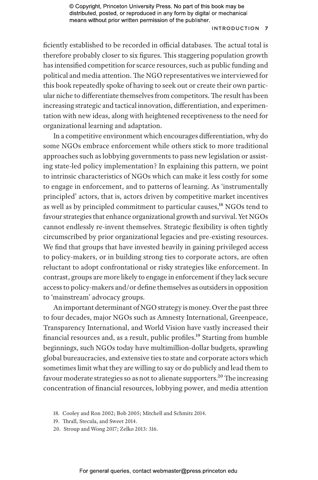### Introduction **7**

ficiently established to be recorded in official databases. The actual total is therefore probably closer to six figures. This staggering population growth has intensified competition for scarce resources, such as public funding and political and media attention. The NGO representatives we interviewed for this book repeatedly spoke of having to seek out or create their own particular niche to differentiate themselves from competitors. The result has been increasing strategic and tactical innovation, differentiation, and experimentation with new ideas, along with heightened receptiveness to the need for organizational learning and adaptation.

In a competitive environment which encourages differentiation, why do some NGOs embrace enforcement while others stick to more traditional approaches such as lobbying governments to pass new legislation or assisting state-led policy implementation? In explaining this pattern, we point to intrinsic characteristics of NGOs which can make it less costly for some to engage in enforcement, and to patterns of learning. As 'instrumentally principled' actors, that is, actors driven by competitive market incentives as well as by principled commitment to particular causes,<sup>18</sup> NGOs tend to favour strategies that enhance organizational growth and survival. Yet NGOs cannot endlessly re-invent themselves. Strategic flexibility is often tightly circumscribed by prior organizational legacies and pre-existing resources. We find that groups that have invested heavily in gaining privileged access to policy-makers, or in building strong ties to corporate actors, are often reluctant to adopt confrontational or risky strategies like enforcement. In contrast, groups are more likely to engage in enforcement if they lack secure access to policy-makers and/or define themselves as outsiders in opposition to 'mainstream' advocacy groups.

An important determinant of NGO strategy is money. Over the past three to four decades, major NGOs such as Amnesty International, Greenpeace, Transparency International, and World Vision have vastly increased their financial resources and, as a result, public profiles.19 Starting from humble beginnings, such NGOs today have multimillion-dollar budgets, sprawling global bureaucracies, and extensive ties to state and corporate actors which sometimes limit what they are willing to say or do publicly and lead them to favour moderate strategies so as not to alienate supporters.<sup>20</sup> The increasing concentration of financial resources, lobbying power, and media attention

- 19. Thrall, Stecula, and Sweet 2014.
- 20. Stroup and Wong 2017; Zelko 2013: 316.

<sup>18.</sup> Cooley and Ron 2002; Bob 2005; Mitchell and Schmitz 2014.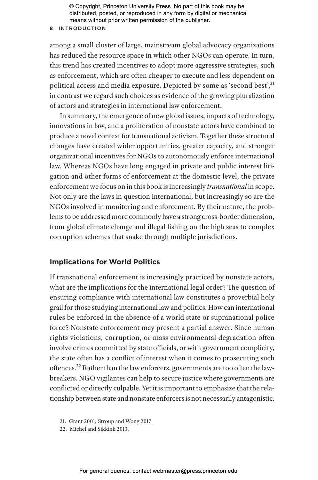### **8** Introduction

among a small cluster of large, mainstream global advocacy organizations has reduced the resource space in which other NGOs can operate. In turn, this trend has created incentives to adopt more aggressive strategies, such as enforcement, which are often cheaper to execute and less dependent on political access and media exposure. Depicted by some as 'second best',<sup>21</sup> in contrast we regard such choices as evidence of the growing pluralization of actors and strategies in international law enforcement.

In summary, the emergence of new global issues, impacts of technology, innovations in law, and a proliferation of nonstate actors have combined to produce a novel context for transnational activism. Together these structural changes have created wider opportunities, greater capacity, and stronger organizational incentives for NGOs to autonomously enforce international law. Whereas NGOs have long engaged in private and public interest litigation and other forms of enforcement at the domestic level, the private enforcement we focus on in this book is increasingly *transnational* in scope. Not only are the laws in question international, but increasingly so are the NGOs involved in monitoring and enforcement. By their nature, the problems to be addressed more commonly have a strong cross-border dimension, from global climate change and illegal fishing on the high seas to complex corruption schemes that snake through multiple jurisdictions.

# **Implications for World Politics**

If transnational enforcement is increasingly practiced by nonstate actors, what are the implications for the international legal order? The question of ensuring compliance with international law constitutes a proverbial holy grail for those studying international law and politics. How can international rules be enforced in the absence of a world state or supranational police force? Nonstate enforcement may present a partial answer. Since human rights violations, corruption, or mass environmental degradation often involve crimes committed by state officials, or with government complicity, the state often has a conflict of interest when it comes to prosecuting such offences.<sup>22</sup> Rather than the law enforcers, governments are too often the lawbreakers. NGO vigilantes can help to secure justice where governments are conflicted or directly culpable. Yet it is important to emphasize that the relationship between state and nonstate enforcers is not necessarily antagonistic.

22. Michel and Sikkink 2013.

<sup>21.</sup> Grant 2001; Stroup and Wong 2017.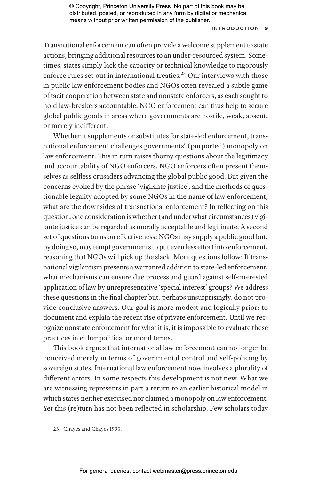#### Introduction **9**

Transnational enforcement can often provide a welcome supplement to state actions, bringing additional resources to an under-resourced system. Sometimes, states simply lack the capacity or technical knowledge to rigorously enforce rules set out in international treaties.<sup>23</sup> Our interviews with those in public law enforcement bodies and NGOs often revealed a subtle game of tacit cooperation between state and nonstate enforcers, as each sought to hold law-breakers accountable. NGO enforcement can thus help to secure global public goods in areas where governments are hostile, weak, absent, or merely indifferent.

Whether it supplements or substitutes for state-led enforcement, transnational enforcement challenges governments' (purported) monopoly on law enforcement. This in turn raises thorny questions about the legitimacy and accountability of NGO enforcers. NGO enforcers often present themselves as selfless crusaders advancing the global public good. But given the concerns evoked by the phrase 'vigilante justice', and the methods of questionable legality adopted by some NGOs in the name of law enforcement, what are the downsides of transnational enforcement? In reflecting on this question, one consideration is whether (and under what circumstances) vigilante justice can be regarded as morally acceptable and legitimate. A second set of questions turns on effectiveness: NGOs may supply a public good but, by doing so, may tempt governments to put even less effort into enforcement, reasoning that NGOs will pick up the slack. More questions follow: If transnational vigilantism presents a warranted addition to state-led enforcement, what mechanisms can ensure due process and guard against self-interested application of law by unrepresentative 'special interest' groups? We address these questions in the final chapter but, perhaps unsurprisingly, do not provide conclusive answers. Our goal is more modest and logically prior: to document and explain the recent rise of private enforcement. Until we recognize nonstate enforcement for what it is, it is impossible to evaluate these practices in either political or moral terms.

This book argues that international law enforcement can no longer be conceived merely in terms of governmental control and self-policing by sovereign states. International law enforcement now involves a plurality of different actors. In some respects this development is not new. What we are witnessing represents in part a return to an earlier historical model in which states neither exercised nor claimed a monopoly on law enforcement. Yet this (re)turn has not been reflected in scholarship. Few scholars today

23. Chayes and Chayes 1993.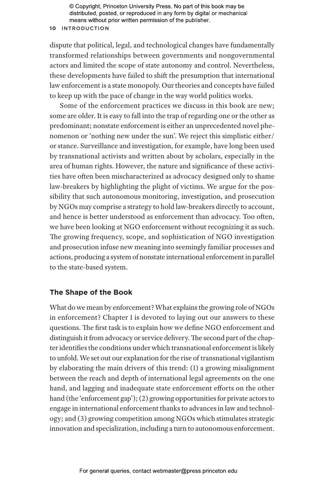#### **10** Introduction

dispute that political, legal, and technological changes have fundamentally transformed relationships between governments and nongovernmental actors and limited the scope of state autonomy and control. Nevertheless, these developments have failed to shift the presumption that international law enforcement is a state monopoly. Our theories and concepts have failed to keep up with the pace of change in the way world politics works.

Some of the enforcement practices we discuss in this book are new; some are older. It is easy to fall into the trap of regarding one or the other as predominant; nonstate enforcement is either an unprecedented novel phenomenon or 'nothing new under the sun'. We reject this simplistic either/ or stance. Surveillance and investigation, for example, have long been used by transnational activists and written about by scholars, especially in the area of human rights. However, the nature and significance of these activities have often been mischaracterized as advocacy designed only to shame law-breakers by highlighting the plight of victims. We argue for the possibility that such autonomous monitoring, investigation, and prosecution by NGOs may comprise a strategy to hold law-breakers directly to account, and hence is better understood as enforcement than advocacy. Too often, we have been looking at NGO enforcement without recognizing it as such. The growing frequency, scope, and sophistication of NGO investigation and prosecution infuse new meaning into seemingly familiar processes and actions, producing a system of nonstate international enforcement in parallel to the state-based system.

### **The Shape of the Book**

What do we mean by enforcement? What explains the growing role of NGOs in enforcement? Chapter 1 is devoted to laying out our answers to these questions. The first task is to explain how we define NGO enforcement and distinguish it from advocacy or service delivery. The second part of the chapter identifies the conditions under which transnational enforcement is likely to unfold. We set out our explanation for the rise of transnational vigilantism by elaborating the main drivers of this trend: (1) a growing misalignment between the reach and depth of international legal agreements on the one hand, and lagging and inadequate state enforcement efforts on the other hand (the 'enforcement gap'); (2) growing opportunities for private actors to engage in international enforcement thanks to advances in law and technology; and (3) growing competition among NGOs which stimulates strategic innovation and specialization, including a turn to autonomous enforcement.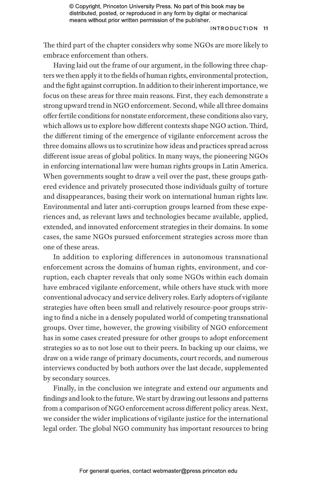The third part of the chapter considers why some NGOs are more likely to embrace enforcement than others.

Having laid out the frame of our argument, in the following three chapters we then apply it to the fields of human rights, environmental protection, and the fight against corruption. In addition to their inherent importance, we focus on these areas for three main reasons. First, they each demonstrate a strong upward trend in NGO enforcement. Second, while all three domains offer fertile conditions for nonstate enforcement, these conditions also vary, which allows us to explore how different contexts shape NGO action. Third, the different timing of the emergence of vigilante enforcement across the three domains allows us to scrutinize how ideas and practices spread across different issue areas of global politics. In many ways, the pioneering NGOs in enforcing international law were human rights groups in Latin America. When governments sought to draw a veil over the past, these groups gathered evidence and privately prosecuted those individuals guilty of torture and disappearances, basing their work on international human rights law. Environmental and later anti-corruption groups learned from these experiences and, as relevant laws and technologies became available, applied, extended, and innovated enforcement strategies in their domains. In some cases, the same NGOs pursued enforcement strategies across more than one of these areas.

In addition to exploring differences in autonomous transnational enforcement across the domains of human rights, environment, and corruption, each chapter reveals that only some NGOs within each domain have embraced vigilante enforcement, while others have stuck with more conventional advocacy and service delivery roles. Early adopters of vigilante strategies have often been small and relatively resource-poor groups striving to find a niche in a densely populated world of competing transnational groups. Over time, however, the growing visibility of NGO enforcement has in some cases created pressure for other groups to adopt enforcement strategies so as to not lose out to their peers. In backing up our claims, we draw on a wide range of primary documents, court records, and numerous interviews conducted by both authors over the last decade, supplemented by secondary sources.

Finally, in the conclusion we integrate and extend our arguments and findings and look to the future. We start by drawing out lessons and patterns from a comparison of NGO enforcement across different policy areas. Next, we consider the wider implications of vigilante justice for the international legal order. The global NGO community has important resources to bring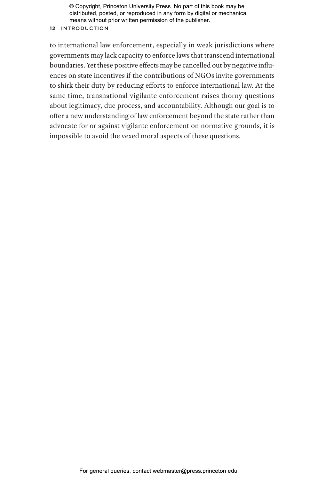### **12** Introduction

to international law enforcement, especially in weak jurisdictions where governments may lack capacity to enforce laws that transcend international boundaries. Yet these positive effects may be cancelled out by negative influences on state incentives if the contributions of NGOs invite governments to shirk their duty by reducing efforts to enforce international law. At the same time, transnational vigilante enforcement raises thorny questions about legitimacy, due process, and accountability. Although our goal is to offer a new understanding of law enforcement beyond the state rather than advocate for or against vigilante enforcement on normative grounds, it is impossible to avoid the vexed moral aspects of these questions.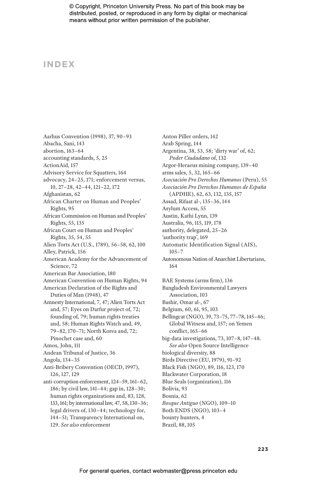# **INDEX**

Aarhus Convention (1998), 37, 90–93 Abacha, Sani, 143 abortion, 163–64 accounting standards, 5, 25 ActionAid, 157 Advisory Service for Squatters, 164 advocacy, 24–25, 171; enforcement versus, 10, 27–28, 42–44, 121–22, 172 Afghanistan, 62 African Charter on Human and Peoples' Rights, 95 African Commission on Human and Peoples' Rights, 55, 135 African Court on Human and Peoples' Rights, 35, 54, 55 Alien Torts Act (U.S., 1789), 56–58, 62, 100 Alley, Patrick, 156 American Academy for the Advancement of Science, 72 American Bar Association, 180 American Convention on Human Rights, 94 American Declaration of the Rights and Duties of Man (1948), 47 Amnesty International, 7, 47; Alien Torts Act and, 57; Eyes on Darfur project of, 72; founding of, 79; human rights treaties and, 58; Human Rights Watch and, 49, 79–82, 170–71; North Korea and, 72; Pinochet case and, 60 Amos, John, 111 Andean Tribunal of Justice, 36 Angola, 134–35 Anti-Bribery Convention (OECD, 1997), 126, 127, 129 anti-corruption enforcement, 124–59, 161–62, 186; by civil law, 141–44; gap in, 128–30; human rights organizations and, 83, 128, 133, 161; by international law, 47, 58, 130–36; legal drivers of, 130–44; technology for, 144–51; Transparency International on, 129. *See also* enforcement

Anton Piller orders, 142 Arab Spring, 144 Argentina, 38, 53, 58; 'dirty war' of, 62; *Poder Ciudadano* of, 132 Argor-Heraeus mining company, 139–40 arms sales, 5, 32, 165–66 *Asociación Pro Derechos Humanos* (Peru), 55 *Asociación Pro Derechos Humanos de España* (APDHE), 62, 63, 132, 135, 157 Assad, Rifaat al-, 135–36, 144 Asylum Access, 55 Austin, Kathi Lynn, 139 Australia, 96, 115, 119, 178 authority, delegated, 25–26 'authority trap', 169 Automatic Identification Signal (AIS), 105–7 Autonomous Nation of Anarchist Libertarians, 164 BAE Systems (arms firm), 136 Bangladesh Environmental Lawyers Association, 103 Bashir, Omar al-, 67 Belgium, 60, 61, 95, 103 Bellingcat (NGO), 39, 73–75, 77–78, 145–46; Global Witness and, 157; on Yemen conflict, 165–66 big-data investigations, 73, 107–8, 147–48. *See also* Open Source Intelligence biological diversity, 88 Birds Directive (EU, 1979), 91–92 Black Fish (NGO), 89, 116, 123, 170 Blackwater Corporation, 18 Blue Seals (organization), 116 Bolivia, 93 Bosnia, 62 *Bosque Antiguo* (NGO), 109–10 Both ENDS (NGO), 103–4 bounty hunters, 4

Brazil, 88, 105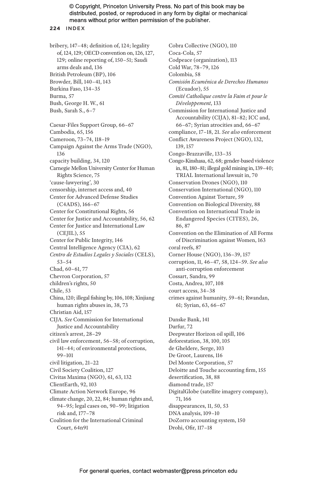#### **224** INDEX

bribery, 147–48; definition of, 124; legality of, 124, 129; OECD convention on, 126, 127, 129; online reporting of, 150–51; Saudi arms deals and, 136 British Petroleum (BP), 106 Browder, Bill, 140–41, 143 Burkina Faso, 134–35 Burma, 57 Bush, George H. W., 61 Bush, Sarah S., 6–7 Caesar-Files Support Group, 66–67 Cambodia, 65, 156 Cameroon, 73–74, 118–19 Campaign Against the Arms Trade (NGO), 136 capacity building, 34, 120 Carnegie Mellon University Center for Human Rights Science, 75 'cause-lawyering', 30 censorship, internet access and, 40 Center for Advanced Defense Studies (C4ADS), 166–67 Center for Constitutional Rights, 56 Center for Justice and Accountability, 56, 62 Center for Justice and International Law (CEJIL), 55 Center for Public Integrity, 146 Central Intelligence Agency (CIA), 62 *Centro de Estudios Legales y Sociales* (CELS), 53–54 Chad, 60–61, 77 Chevron Corporation, 57 children's rights, 50 Chile, 53 China, 120; illegal fishing by, 106, 108; Xinjiang human rights abuses in, 38, 73 Christian Aid, 157 CIJA. *See* Commission for International Justice and Accountability citizen's arrest, 28–29 civil law enforcement, 56–58; of corruption, 141–44; of environmental protections, 99–101 civil litigation, 21–22 Civil Society Coalition, 127 Civitas Maxima (NGO), 61, 63, 132 ClientEarth, 92, 103 Climate Action Network Europe, 96 climate change, 20, 22, 84; human rights and, 94–95; legal cases on, 90–99; litigation risk and, 177–78 Coalition for the International Criminal Court, 64n91

Cobra Collective (NGO), 110 Coca-Cola, 57 Codpeace (organization), 113 Cold War, 78–79, 126 Colombia, 58 *Comisión Ecuménica de Derechos Humanos* (Ecuador), 55 *Comité Catholique contre la Faim et pour le Développement*, 133 Commission for International Justice and Accountability (CIJA), 81–82; ICC and, 66–67; Syrian atrocities and, 66–67 compliance, 17–18, 21. *See also* enforcement Conflict Awareness Project (NGO), 132, 139, 157 Congo-Brazzaville, 133–35 Congo-Kinshasa, 62, 68; gender-based violence in, 81, 180–81; illegal gold mining in, 139–40; TRIAL International lawsuit in, 70 Conservation Drones (NGO), 110 Conservation International (NGO), 110 Convention Against Torture, 59 Convention on Biological Diversity, 88 Convention on International Trade in Endangered Species (CITES), 26, 86, 87 Convention on the Elimination of All Forms of Discrimination against Women, 163 coral reefs, 87 Corner House (NGO), 136–39, 157 corruption, 11, 46–47, 58, 124–59. *See also* anti-corruption enforcement Cossart, Sandra, 99 Costa, Andrea, 107, 108 court access, 34–38 crimes against humanity, 59–61; Rwandan, 61; Syrian, 63, 66–67 Danske Bank, 141 Darfur, 72 Deepwater Horizon oil spill, 106 deforestation, 38, 100, 105 de Gheldere, Serge, 103 De Groot, Laurens, 116 Del Monte Corporation, 57 Deloitte and Touche accounting firm, 155 desertification, 38, 88 diamond trade, 157 DigitalGlobe (satellite imagery company), 71, 166 disappearances, 11, 50, 53 DNA analysis, 109–10 DoZorro accounting system, 150 Drohi, Ofir, 117–18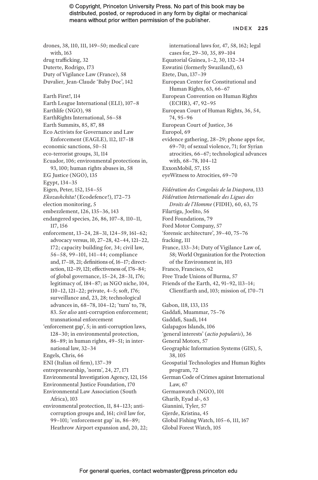#### INDEX **225**

drones, 38, 110, 111, 149–50; medical care with, 163 drug trafficking, 32 Duterte, Rodrigo, 173 Duty of Vigilance Law (France), 58

Duvalier, Jean-Claude 'Baby Doc', 142

Earth First!, 114

- Earth League International (ELI), 107–8
- Earthlife (NGO), 98
- EarthRights International, 56–58
- Earth Summits, 85, 87, 88
- Eco Activists for Governance and Law Enforcement (EAGLE), 112, 117–18
- economic sanctions, 50–51
- eco-terrorist groups, 31, 114
- Ecuador, 106; environmental protections in, 93, 100; human rights abuses in, 58
- EG Justice (NGO), 135
- Egypt, 134–35
- Eigen, Peter, 152, 154–55
- *Ekozashchita!* (Ecodefence!), 172–73
- election monitoring, 5
- embezzlement, 126, 135–36, 143
- endangered species, 26, 86, 107–8, 110–11, 117, 156
- enforcement, 13–24, 28–31, 124–59, 161–62; advocacy versus, 10, 27–28, 42–44, 121–22, 172; capacity building for, 34; civil law, 56–58, 99–101, 141–44; compliance and, 17–18, 21; definitions of, 16–17; directaction, 112–19, 121; effectiveness of, 176–84; of global governance, 15–24, 28–31, 176; legitimacy of, 184–87; as NGO niche, 104, 110–12, 121–22; private, 4–5; soft, 176; surveillance and, 23, 28; technological advances in, 68–78, 104–12; 'turn' to, 78, 83. *See also* anti-corruption enforcement; transnational enforcement
- 'enforcement gap', 5; in anti-corruption laws, 128–30; in environmental protection, 86–89; in human rights, 49–51; in international law, 32–34

- ENI (Italian oil firm), 137–39
- entrepreneurship, 'norm', 24, 27, 171
- Environmental Investigation Agency, 121, 156
- Environmental Justice Foundation, 170 Environmental Law Association (South Africa), 103
- environmental protection, 11, 84–123; anticorruption groups and, 161; civil law for, 99–101; 'enforcement gap' in, 86–89; Heathrow Airport expansion and, 20, 22;

international laws for, 47, 58, 162; legal cases for, 29–30, 35, 89–104 Equatorial Guinea, 1–2, 30, 132–34 Eswatini (formerly Swaziland), 63 Etete, Dan, 137–39 European Center for Constitutional and Human Rights, 63, 66–67 European Convention on Human Rights (ECHR), 47, 92–95 European Court of Human Rights, 36, 54, 74, 95–96 European Court of Justice, 36 Europol, 69 evidence gathering, 28–29; phone apps for, 69–70; of sexual violence, 71; for Syrian atrocities, 66–67; technological advances with, 68–78, 104–12 ExxonMobil, 57, 155 eyeWitness to Atrocities, 69–70

- *Fédération des Congolais de la Diaspora*, 133 *Fédération Internationale des Ligues des Droits de l'Homme* (FIDH), 60, 63, 75 Filartiga, Joelito, 56 Ford Foundations, 79 Ford Motor Company, 57 'forensic architecture', 39–40, 75–76 fracking, 111 France, 133–34; Duty of Vigilance Law of, 58; World Organization for the Protection of the Environment in, 103 Franco, Francisco, 62 Free Trade Unions of Burma, 57
- Friends of the Earth, 42, 91–92, 113–14; ClientEarth and, 103; mission of, 170–71

Gabon, 118, 133, 135

- Gaddafi, Muammar, 75–76
- Gaddafi, Saadi, 144
- Galapagos Islands, 106
- 'general interests' (*actio popularis*), 36
- General Motors, 57
- Geographic Information Systems (GIS), 5, 38, 105
- Geospatial Technologies and Human Rights program, 72
- German Code of Crimes against International Law, 67
- Germanwatch (NGO), 101
- Gharib, Eyad al-, 63
- Giannini, Tyler, 57
- Gjerde, Kristina, 45
- Global Fishing Watch, 105–6, 111, 167
- Global Forest Watch, 105

Engels, Chris, 66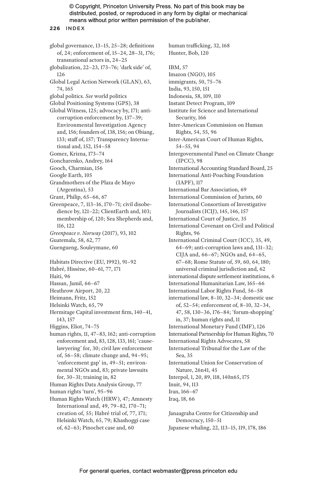**226** INDEX

global governance, 13–15, 25–28; definitions of, 24; enforcement of, 15–24, 28–31, 176; transnational actors in, 24–25 globalization, 22–23, 173–76; 'dark side' of, 126 Global Legal Action Network (GLAN), 63, 74, 165 global politics. *See* world politics Global Positioning Systems (GPS), 38 Global Witness, 125; advocacy by, 171; anticorruption enforcement by, 137–39; Environmental Investigation Agency and, 156; founders of, 138, 156; on Obiang, 133; staff of, 157; Transparency International and, 152, 154–58 Gomez, Krizna, 173–74 Goncharenko, Andrey, 164 Gooch, Charmian, 156 Google Earth, 105 Grandmothers of the Plaza de Mayo (Argentina), 53 Grant, Philip, 65–66, 67 Greenpeace, 7, 113–16, 170–71; civil disobedience by, 121–22; ClientEarth and, 103; membership of, 120; Sea Shepherds and, 116, 122 *Greenpeace v. Norway* (2017), 93, 102 Guatemala, 58, 62, 77 Guengueng, Souleymane, 60 Habitats Directive (EU, 1992), 91–92 Habré, Hissène, 60–61, 77, 171 Haiti, 96 Hassan, Jamil, 66–67 Heathrow Airport, 20, 22 Heimann, Fritz, 152 Helsinki Watch, 65, 79 Hermitage Capital investment firm, 140–41, 143, 157 Higgins, Eliot, 74–75 human rights, 11, 47–83, 162; anti-corruption enforcement and, 83, 128, 133, 161; 'causelawyering' for, 30; civil law enforcement of, 56–58; climate change and, 94–95; 'enforcement gap' in, 49–51; environmental NGOs and, 83; private lawsuits for, 30–31; training in, 82 Human Rights Data Analysis Group, 77 human rights 'turn', 95–96 Human Rights Watch (HRW), 47; Amnesty International and, 49, 79–82, 170–71; creation of, 55; Habré trial of, 77, 171; Helsinki Watch, 65, 79; Khashoggi case of, 62–63; Pinochet case and, 60

human trafficking, 32, 168 Hunter, Bob, 120 IBM, 57 Imazon (NGO), 105 immigrants, 50, 75–76 India, 93, 150, 151 Indonesia, 58, 109, 110 Instant Detect Program, 109 Institute for Science and International Security, 166 Inter-American Commission on Human Rights, 54, 55, 96 Inter-American Court of Human Rights, 54–55, 94 Intergovernmental Panel on Climate Change (IPCC), 98 International Accounting Standard Board, 25 International Anti-Poaching Foundation (IAPF), 117 International Bar Association, 69 International Commission of Jurists, 60 International Consortium of Investigative Journalists (ICIJ), 145, 146, 157 International Court of Justice, 35 International Covenant on Civil and Political Rights, 96 International Criminal Court (ICC), 35, 49, 64–69; anti-corruption laws and, 131–32; CIJA and, 66–67; NGOs and, 64–65, 67–68; Rome Statute of, 59, 60, 64, 180; universal criminal jurisdiction and, 62 international dispute settlement institutions, 6 International Humanitarian Law, 165–66 International Labor Rights Fund, 56–58 international law, 8–10, 32–34; domestic use of, 52–54; enforcement of, 8–10, 32–34, 47, 58, 130–36, 176–84; 'forum-shopping' in, 37; human rights and, 11 International Monetary Fund (IMF), 126 International Partnership for Human Rights, 70 International Rights Advocates, 58 International Tribunal for the Law of the Sea, 35 International Union for Conservation of Nature, 26n41, 45 Interpol, 1, 20, 89, 118, 140n65, 175 Inuit, 94, 113 Iran, 166–67 Iraq, 18, 66 Janaagraha Centre for Citizenship and

Democracy, 150–51 Japanese whaling, 22, 113–15, 119, 178, 186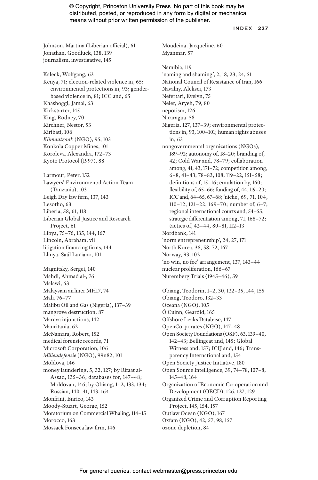Moudeina, Jacqueline, 60

INDEX **227**

Johnson, Martina (Liberian official), 61 Jonathan, Goodluck, 138, 139 journalism, investigative, 145

Kaleck, Wolfgang, 63 Kenya, 71; election-related violence in, 65; environmental protections in, 93; genderbased violence in, 81; ICC and, 65 Khashoggi, Jamal, 63 Kickstarter, 145 King, Rodney, 70 Kirchner, Nestor, 53 Kiribati, 106 *Klimaatzaak* (NGO), 95, 103 Konkola Copper Mines, 101 Koroleva, Alexandra, 172–73 Kyoto Protocol (1997), 88 Larmour, Peter, 152 Lawyers' Environmental Action Team (Tanzania), 103 Leigh Day law firm, 137, 143 Lesotho, 63 Liberia, 58, 61, 118 Liberian Global Justice and Research Project, 61 Libya, 75–76, 135, 144, 167 Lincoln, Abraham, vii litigation financing firms, 144 Lliuya, Saúl Luciano, 101 Magnitsky, Sergei, 140 Mahdi, Ahmad al-, 76 Malawi, 63 Malaysian airliner MH17, 74 Mali, 76–77 Malibu Oil and Gas (Nigeria), 137–39 mangrove destruction, 87 Mareva injunctions, 142 Mauritania, 62 McNamara, Robert, 152 medical forensic records, 71 Microsoft Corporation, 106 *Milieudefensie* (NGO), 99n82, 101 Moldova, 146 money laundering, 5, 32, 127; by Rifaat al-Assad, 135–36; databases for, 147–48; Moldovan, 146; by Obiang, 1–2, 133, 134; Russian, 140–41, 143, 164 Monfrini, Enrico, 143 Moody-Stuart, George, 152 Moratorium on Commercial Whaling, 114–15 Morocco, 163 Mossack Fonseca law firm, 146

Myanmar, 57 Namibia, 119 'naming and shaming', 2, 18, 23, 24, 51 National Council of Resistance of Iran, 166 Navalny, Aleksei, 173 Nefertari, Evelyn, 75 Neier, Aryeh, 79, 80 nepotism, 126 Nicaragua, 58 Nigeria, 127, 137–39; environmental protections in, 93, 100–101; human rights abuses in, 63 nongovernmental organizations (NGOs), 189–92; autonomy of, 18–20; branding of, 42; Cold War and, 78–79; collaboration among, 41, 43, 171–72; competition among, 6–8, 41–43, 78–83, 108, 119–22, 151–58; definitions of, 15–16; emulation by, 160; flexibility of, 65–66; funding of, 44, 119–20; ICC and, 64–65, 67–68; 'niche', 69, 71, 104, 110–12, 121–22, 169–70; number of, 6–7; regional international courts and, 54–55; strategic differentiation among, 71, 168–72; tactics of, 42–44, 80–81, 112–13 Nordbank, 141 'norm entrepreneurship', 24, 27, 171 North Korea, 38, 58, 72, 167 Norway, 93, 102 'no win, no fee' arrangement, 137, 143–44 nuclear proliferation, 166–67 Nuremberg Trials (1945–46), 59 Obiang, Teodorin, 1–2, 30, 132–35, 144, 155 Obiang, Teodoro, 132–33 Oceana (NGO), 105 Ó Cuinn, Gearóid, 165 Offshore Leaks Database, 147 OpenCorporates (NGO), 147–48 Open Society Foundations (OSF), 63, 139–40, 142–43; Bellingcat and, 145; Global Witness and, 157; ICIJ and, 146; Transparency International and, 154 Open Society Justice Initiative, 180 Open Source Intelligence, 39, 74–78, 107–8,

145–48, 164 Organization of Economic Co-operation and Development (OECD), 126, 127, 129 Organized Crime and Corruption Reporting Project, 145, 154, 157

Outlaw Ocean (NGO), 167

Oxfam (NGO), 42, 57, 98, 157

ozone depletion, 84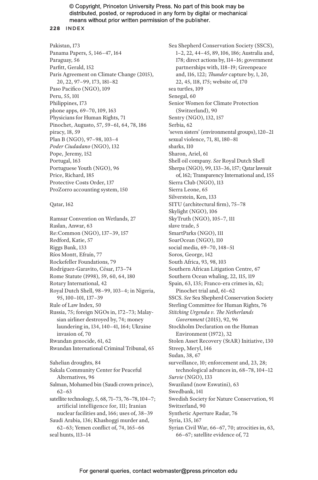#### **228** INDEX

Pakistan, 173 Panama Papers, 5, 146–47, 164 Paraguay, 56 Parfitt, Gerald, 152 Paris Agreement on Climate Change (2015), 20, 22, 97–99, 173, 181–82 Paso Pacifico (NGO), 109 Peru, 55, 101 Philippines, 173 phone apps, 69–70, 109, 163 Physicians for Human Rights, 71 Pinochet, Augusto, 57, 59–61, 64, 78, 186 piracy, 18, 59 Plan B (NGO), 97–98, 103–4 *Poder Ciudadano* (NGO), 132 Pope, Jeremy, 152 Portugal, 163 Portuguese Youth (NGO), 96 Price, Richard, 185 Protective Costs Order, 137 ProZorro accounting system, 150

Qatar, 162

Ramsar Convention on Wetlands, 27 Raslan, Anwar, 63 Re:Common (NGO), 137–39, 157 Redford, Katie, 57 Riggs Bank, 133 Ríos Montt, Efraín, 77 Rockefeller Foundations, 79 Rodríguez-Garavito, César, 173–74 Rome Statute (1998), 59, 60, 64, 180 Rotary International, 42 Royal Dutch Shell, 98–99, 103–4; in Nigeria, 95, 100–101, 137–39 Rule of Law Index, 50 Russia, 75; foreign NGOs in, 172–73; Malaysian airliner destroyed by, 74; money laundering in, 134, 140–41, 164; Ukraine invasion of, 70 Rwandan genocide, 61, 62 Rwandan International Criminal Tribunal, 65 Sahelian droughts, 84 Sakala Community Center for Peaceful Alternatives, 96 Salman, Mohamed bin (Saudi crown prince), 62–63 satellite technology, 5, 68, 71–73, 76–78, 104–7; artificial intelligence for, 111; Iranian nuclear facilities and, 166; uses of, 38–39 Saudi Arabia, 136; Khashoggi murder and, 62–63; Yemen conflict of, 74, 165–66 seal hunts, 113–14

Sea Shepherd Conservation Society (SSCS), 1–2, 22, 44–45, 89, 106, 186; Australia and, 178; direct actions by, 114–16; government partnerships with, 118–19; Greenpeace and, 116, 122; *Thunder* capture by, 1, 20, 22, 45, 118, 175; website of, 170 sea turtles, 109 Senegal, 60 Senior Women for Climate Protection (Switzerland), 90 Sentry (NGO), 132, 157 Serbia, 62 'seven sisters' (environmental groups), 120–21 sexual violence, 71, 81, 180–81 sharks, 110 Sharon, Ariel, 61 Shell oil company. *See* Royal Dutch Shell Sherpa (NGO), 99, 133–36, 157; Qatar lawsuit of, 162; Transparency International and, 155 Sierra Club (NGO), 113 Sierra Leone, 65 Silverstein, Ken, 133 SITU (architectural firm), 75–78 Skylight (NGO), 106 SkyTruth (NGO), 105–7, 111 slave trade, 5 SmartParks (NGO), 111 SoarOcean (NGO), 110 social media, 69–70, 148–51 Soros, George, 142 South Africa, 93, 98, 103 Southern African Litigation Centre, 67 Southern Ocean whaling, 22, 115, 119 Spain, 63, 135; Franco-era crimes in, 62; Pinochet trial and, 61–62 SSCS. *See* Sea Shepherd Conservation Society Sterling Committee for Human Rights, 76 *Stitching Urgenda v. The Netherlands Government* (2015), 92, 96 Stockholm Declaration on the Human Environment (1972), 32 Stolen Asset Recovery (StAR) Initiative, 130 Streep, Meryl, 146 Sudan, 38, 67 surveillance, 10; enforcement and, 23, 28; technological advances in, 68–78, 104–12 *Survie* (NGO), 133 Swaziland (now Eswatini), 63 Swedbank, 141 Swedish Society for Nature Conservation, 91 Switzerland, 90 Synthetic Aperture Radar, 76 Syria, 135, 167 Syrian Civil War, 66–67, 70; atrocities in, 63, 66–67; satellite evidence of, 72